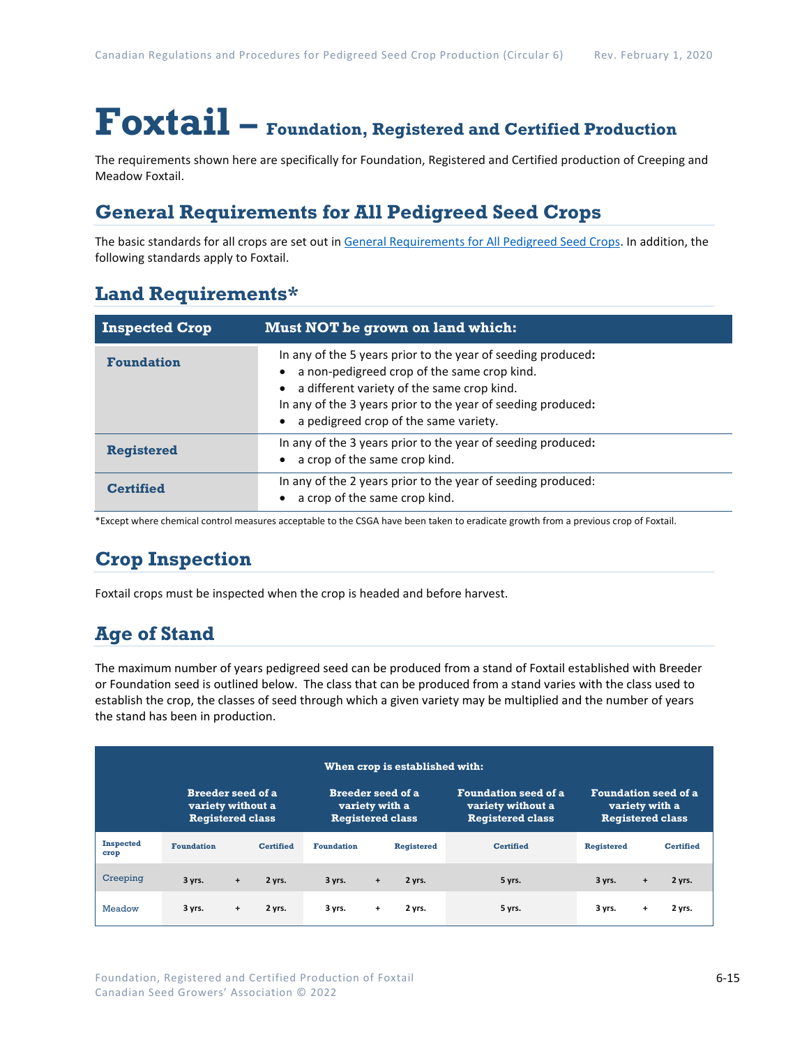# **Foxtail – Foundation, Registered and Certified Production**

The requirements shown here are specifically for Foundation, Registered and Certified production of Creeping and Meadow Foxtail.

## **General Requirements for All Pedigreed Seed Crops**

The basic standards for all crops are set out in [General Requirements for All Pedigreed Seed](https://seedgrowers.ca/wp-content/uploads/2020/01/GENERAL-REQUIREMENTS-ALL-CROPS_EN.pdf) Crops. In addition, the following standards apply to Foxtail.

## **Land Requirements\***

| <b>Inspected Crop</b> | Must NOT be grown on land which:                                                                                                                                                                                                                                   |  |
|-----------------------|--------------------------------------------------------------------------------------------------------------------------------------------------------------------------------------------------------------------------------------------------------------------|--|
| <b>Foundation</b>     | In any of the 5 years prior to the year of seeding produced:<br>a non-pedigreed crop of the same crop kind.<br>a different variety of the same crop kind.<br>In any of the 3 years prior to the year of seeding produced:<br>a pedigreed crop of the same variety. |  |
| <b>Registered</b>     | In any of the 3 years prior to the year of seeding produced:<br>a crop of the same crop kind.                                                                                                                                                                      |  |
| Certified             | In any of the 2 years prior to the year of seeding produced:<br>a crop of the same crop kind.                                                                                                                                                                      |  |

\*Except where chemical control measures acceptable to the CSGA have been taken to eradicate growth from a previous crop of Foxtail.

# **Crop Inspection**

Foxtail crops must be inspected when the crop is headed and before harvest.

# **Age of Stand**

The maximum number of years pedigreed seed can be produced from a stand of Foxtail established with Breeder or Foundation seed is outlined below. The class that can be produced from a stand varies with the class used to establish the crop, the classes of seed through which a given variety may be multiplied and the number of years the stand has been in production.

| When crop is established with: |                                                                          |           |                                                                       |                   |     |                                                                             |                  |                   |                                                                          |                  |
|--------------------------------|--------------------------------------------------------------------------|-----------|-----------------------------------------------------------------------|-------------------|-----|-----------------------------------------------------------------------------|------------------|-------------------|--------------------------------------------------------------------------|------------------|
|                                | <b>Breeder seed of a</b><br>variety without a<br><b>Registered class</b> |           | <b>Breeder seed of a</b><br>variety with a<br><b>Registered class</b> |                   |     | <b>Foundation seed of a</b><br>variety without a<br><b>Registered class</b> |                  |                   | <b>Foundation seed of a</b><br>variety with a<br><b>Registered class</b> |                  |
| <b>Inspected</b><br>crop       | <b>Foundation</b>                                                        |           | <b>Certified</b>                                                      | <b>Foundation</b> |     | <b>Registered</b>                                                           | <b>Certified</b> | <b>Registered</b> |                                                                          | <b>Certified</b> |
| Creeping                       | 3 yrs.                                                                   | $\ddot{}$ | 2 yrs.                                                                | 3 yrs.            | $+$ | 2 yrs.                                                                      | 5 yrs.           | 3 yrs.            | $\ddot{}$                                                                | 2 yrs.           |
| Meadow                         | 3 yrs.                                                                   | $\ddot{}$ | 2 yrs.                                                                | 3 yrs.            | $+$ | 2 yrs.                                                                      | 5 yrs.           | 3 yrs.            | $\ddot{}$                                                                | 2 yrs.           |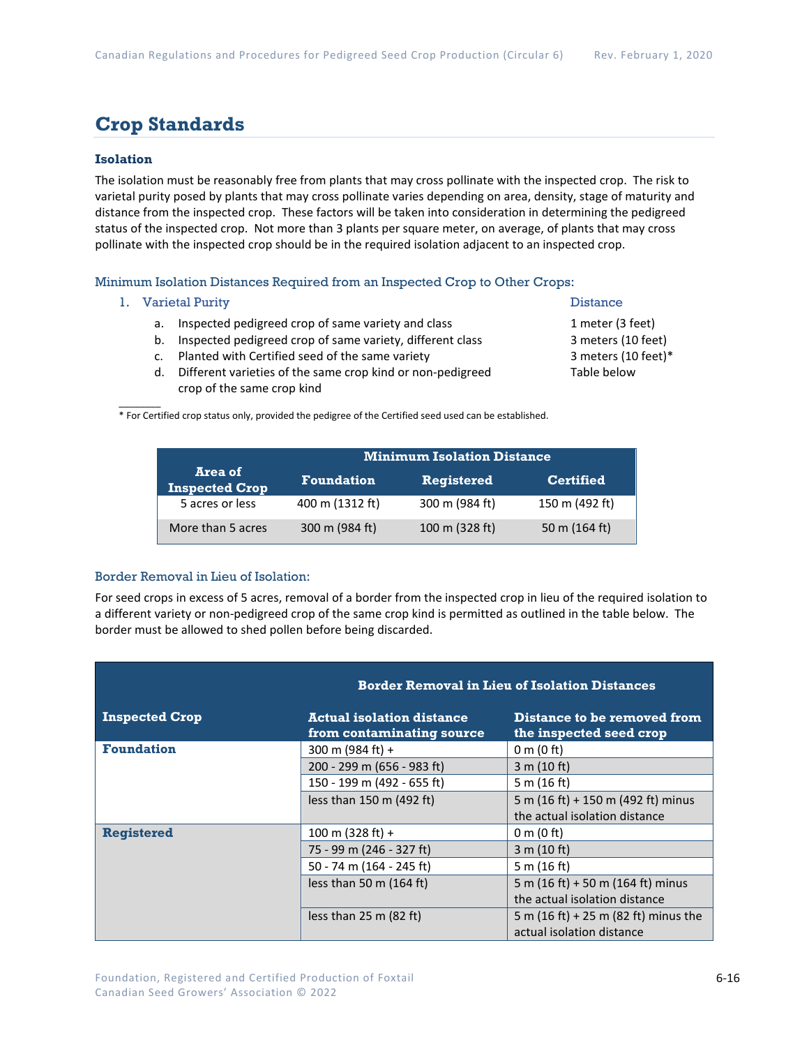### **Crop Standards**

#### **Isolation**

The isolation must be reasonably free from plants that may cross pollinate with the inspected crop. The risk to varietal purity posed by plants that may cross pollinate varies depending on area, density, stage of maturity and distance from the inspected crop. These factors will be taken into consideration in determining the pedigreed status of the inspected crop. Not more than 3 plants per square meter, on average, of plants that may cross pollinate with the inspected crop should be in the required isolation adjacent to an inspected crop.

Minimum Isolation Distances Required from an Inspected Crop to Other Crops:

1. Varietal Purity **Distance** 

 $\overline{\phantom{a}}$ 

- a. Inspected pedigreed crop of same variety and class 1 meter (3 feet)
- b. Inspected pedigreed crop of same variety, different class 3 meters (10 feet)
- c. Planted with Certified seed of the same variety 3 meters (10 feet)\*
- d. Different varieties of the same crop kind or non-pedigreed Table below crop of the same crop kind

\* For Certified crop status only, provided the pedigree of the Certified seed used can be established.

|                                  | <b>Minimum Isolation Distance</b> |                   |                  |  |
|----------------------------------|-----------------------------------|-------------------|------------------|--|
| Area of<br><b>Inspected Crop</b> | <b>Foundation</b>                 | <b>Registered</b> | <b>Certified</b> |  |
| 5 acres or less                  | 400 m (1312 ft)                   | 300 m (984 ft)    | 150 m (492 ft)   |  |
| More than 5 acres                | 300 m (984 ft)                    | 100 m (328 ft)    | 50 m (164 ft)    |  |

#### Border Removal in Lieu of Isolation:

For seed crops in excess of 5 acres, removal of a border from the inspected crop in lieu of the required isolation to a different variety or non-pedigreed crop of the same crop kind is permitted as outlined in the table below. The border must be allowed to shed pollen before being discarded.

|                       | <b>Border Removal in Lieu of Isolation Distances</b>          |                                                        |  |  |
|-----------------------|---------------------------------------------------------------|--------------------------------------------------------|--|--|
| <b>Inspected Crop</b> | <b>Actual isolation distance</b><br>from contaminating source | Distance to be removed from<br>the inspected seed crop |  |  |
| <b>Foundation</b>     | 300 m (984 ft) +                                              | 0 m (0 ft)                                             |  |  |
|                       | 200 - 299 m (656 - 983 ft)                                    | 3 m (10 ft)                                            |  |  |
|                       | 150 - 199 m (492 - 655 ft)                                    | 5 m $(16 ft)$                                          |  |  |
|                       | less than 150 m (492 ft)                                      | 5 m (16 ft) + 150 m (492 ft) minus                     |  |  |
|                       |                                                               | the actual isolation distance                          |  |  |
| <b>Registered</b>     | 100 m $(328 ft) +$                                            | 0 m $(0 \text{ ft})$                                   |  |  |
|                       | 75 - 99 m (246 - 327 ft)                                      | 3 m (10 ft)                                            |  |  |
|                       | 50 - 74 m (164 - 245 ft)                                      | 5 m $(16 ft)$                                          |  |  |
|                       | less than 50 m $(164 ft)$                                     | 5 m (16 ft) + 50 m (164 ft) minus                      |  |  |
|                       |                                                               | the actual isolation distance                          |  |  |
|                       | less than $25 \text{ m}$ (82 ft)                              | 5 m $(16 \text{ ft}) + 25 \text{ m}$ (82 ft) minus the |  |  |
|                       |                                                               | actual isolation distance                              |  |  |